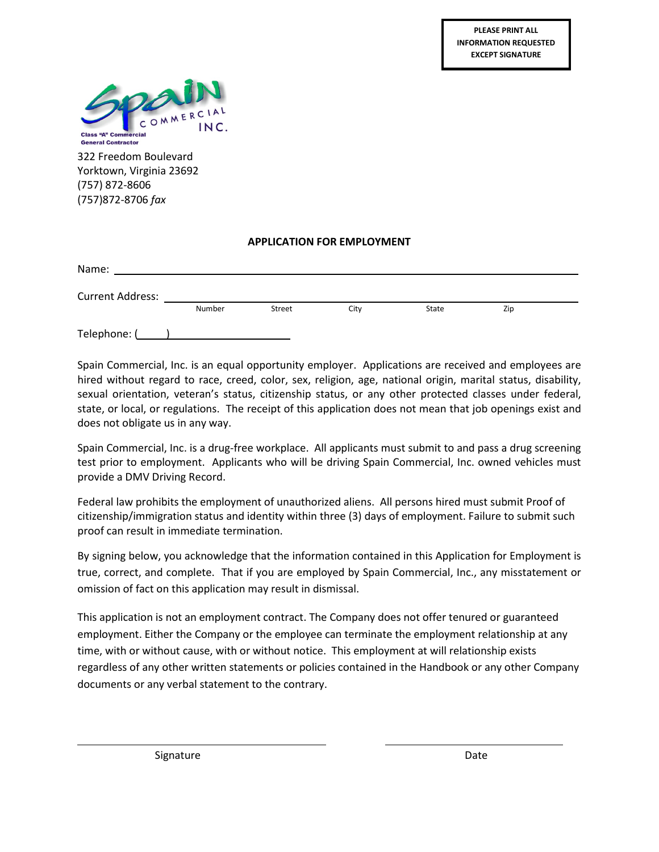

322 Freedom Boulevard Yorktown, Virginia 23692 (757) 872-8606 (757)872-8706 *fax*

### **APPLICATION FOR EMPLOYMENT**

| Name:                   |        |        |      |       |     |  |  |  |
|-------------------------|--------|--------|------|-------|-----|--|--|--|
| <b>Current Address:</b> |        |        |      |       |     |  |  |  |
|                         | Number | Street | City | State | Zip |  |  |  |
| Telephone: (            |        |        |      |       |     |  |  |  |

Spain Commercial, Inc. is an equal opportunity employer. Applications are received and employees are hired without regard to race, creed, color, sex, religion, age, national origin, marital status, disability, sexual orientation, veteran's status, citizenship status, or any other protected classes under federal, state, or local, or regulations. The receipt of this application does not mean that job openings exist and does not obligate us in any way.

Spain Commercial, Inc. is a drug-free workplace. All applicants must submit to and pass a drug screening test prior to employment. Applicants who will be driving Spain Commercial, Inc. owned vehicles must provide a DMV Driving Record.

Federal law prohibits the employment of unauthorized aliens. All persons hired must submit Proof of citizenship/immigration status and identity within three (3) days of employment. Failure to submit such proof can result in immediate termination.

By signing below, you acknowledge that the information contained in this Application for Employment is true, correct, and complete. That if you are employed by Spain Commercial, Inc., any misstatement or omission of fact on this application may result in dismissal.

This application is not an employment contract. The Company does not offer tenured or guaranteed employment. Either the Company or the employee can terminate the employment relationship at any time, with or without cause, with or without notice. This employment at will relationship exists regardless of any other written statements or policies contained in the Handbook or any other Company documents or any verbal statement to the contrary.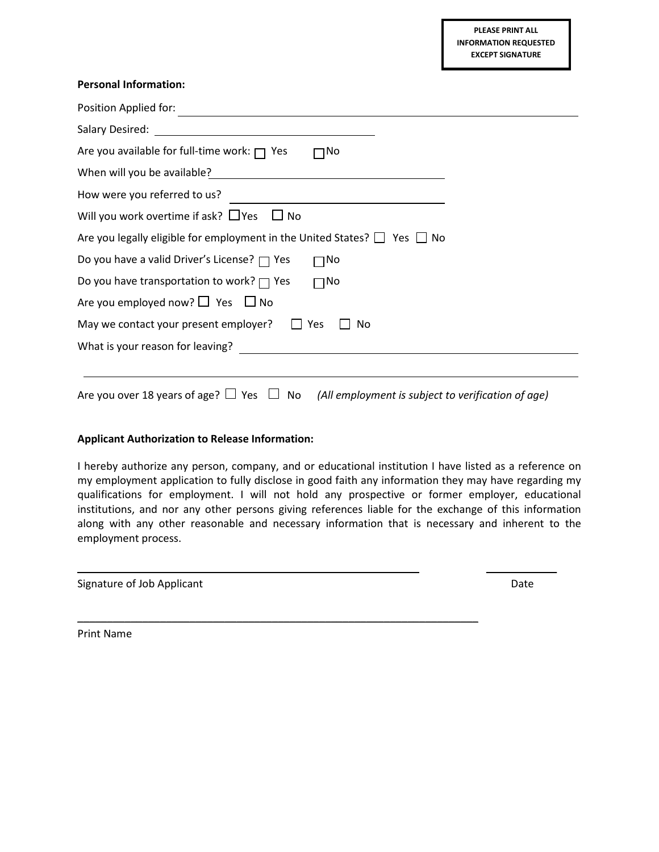#### **Personal Information:**

| Position Applied for:                                                              |
|------------------------------------------------------------------------------------|
|                                                                                    |
| Are you available for full-time work: $\Box$ Yes<br>∩No                            |
| When will you be available?                                                        |
| How were you referred to us?                                                       |
| Will you work overtime if ask? $\Box$ Yes $\Box$ No                                |
| Are you legally eligible for employment in the United States? $\Box$ Yes $\Box$ No |
| Do you have a valid Driver's License? $\Box$ Yes<br>$\lnot$ No                     |
| Do you have transportation to work? $\Box$ Yes<br>$\square$ No                     |
| Are you employed now? $\Box$ Yes $\Box$ No                                         |
| May we contact your present employer? $\Box$ Yes<br>No                             |
| What is your reason for leaving?                                                   |
|                                                                                    |
|                                                                                    |

Are you over 18 years of age?  $\Box$  Yes  $\Box$  No *(All employment is subject to verification of age)* 

#### **Applicant Authorization to Release Information:**

I hereby authorize any person, company, and or educational institution I have listed as a reference on my employment application to fully disclose in good faith any information they may have regarding my qualifications for employment. I will not hold any prospective or former employer, educational institutions, and nor any other persons giving references liable for the exchange of this information along with any other reasonable and necessary information that is necessary and inherent to the employment process.

\_\_\_\_\_\_\_\_\_\_\_\_\_\_\_\_\_\_\_\_\_\_\_\_\_\_\_\_\_\_\_\_\_\_\_\_\_\_\_\_\_\_\_\_\_\_\_\_\_\_\_\_\_\_\_\_\_\_ \_\_\_\_\_\_\_\_\_\_\_\_

\_\_\_\_\_\_\_\_\_\_\_\_\_\_\_\_\_\_\_\_\_\_\_\_\_\_\_\_\_\_\_\_\_\_\_\_\_\_\_\_\_\_\_\_\_\_\_\_\_\_\_\_\_\_\_\_\_\_\_\_\_\_\_\_\_\_\_\_

| Signature of Job Applicant | Date |
|----------------------------|------|
|                            |      |

Print Name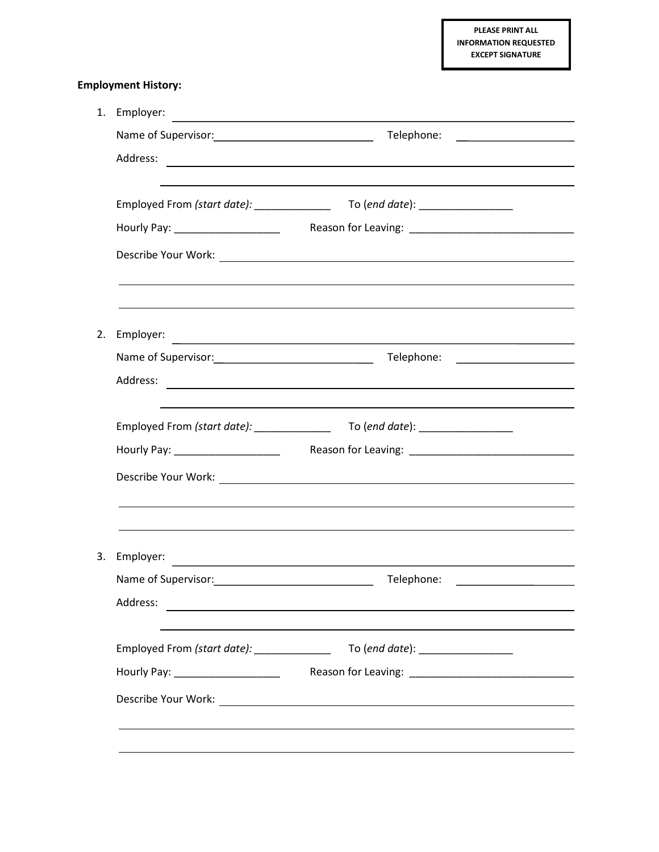**PLEASE PRINT ALL INFORMATION REQUESTED EXCEPT SIGNATURE**

# **Employment History:**

|    | 1. Employer:<br><u> 1989 - Johann Stein, marwolaethau a bhann an t-Amhair ann an t-Amhair an t-Amhair an t-Amhair an t-Amhair an</u> |                                                                                                                      |  |  |  |  |
|----|--------------------------------------------------------------------------------------------------------------------------------------|----------------------------------------------------------------------------------------------------------------------|--|--|--|--|
|    |                                                                                                                                      |                                                                                                                      |  |  |  |  |
|    |                                                                                                                                      |                                                                                                                      |  |  |  |  |
|    |                                                                                                                                      |                                                                                                                      |  |  |  |  |
|    |                                                                                                                                      |                                                                                                                      |  |  |  |  |
|    |                                                                                                                                      |                                                                                                                      |  |  |  |  |
|    |                                                                                                                                      |                                                                                                                      |  |  |  |  |
| 2. |                                                                                                                                      |                                                                                                                      |  |  |  |  |
|    |                                                                                                                                      |                                                                                                                      |  |  |  |  |
|    | the control of the control of the control of the control of the control of the control of                                            |                                                                                                                      |  |  |  |  |
|    |                                                                                                                                      |                                                                                                                      |  |  |  |  |
|    |                                                                                                                                      |                                                                                                                      |  |  |  |  |
|    |                                                                                                                                      |                                                                                                                      |  |  |  |  |
|    |                                                                                                                                      | ,我们也不能会有一个人的事情。""我们的人们是不是我们的人,我们也不能会有一个人的人,我们也不能会有一个人的人,我们也不能会有一个人的人,我们也不能会有一个人的                                     |  |  |  |  |
| 3. |                                                                                                                                      |                                                                                                                      |  |  |  |  |
|    | Name of Supervisor:                                                                                                                  | Telephone:                                                                                                           |  |  |  |  |
|    | Address:                                                                                                                             | <u> 1989 - Johann Stein, marwolaethau a bhann an t-Amhainn an t-Amhainn an t-Amhainn an t-Amhainn an t-Amhainn a</u> |  |  |  |  |
|    |                                                                                                                                      |                                                                                                                      |  |  |  |  |
|    |                                                                                                                                      |                                                                                                                      |  |  |  |  |
|    |                                                                                                                                      |                                                                                                                      |  |  |  |  |
|    |                                                                                                                                      |                                                                                                                      |  |  |  |  |